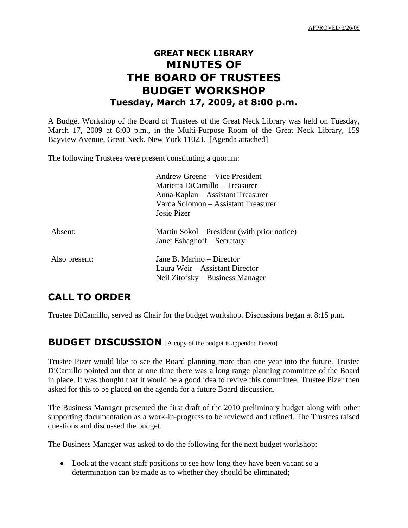## **GREAT NECK LIBRARY MINUTES OF THE BOARD OF TRUSTEES BUDGET WORKSHOP Tuesday, March 17, 2009, at 8:00 p.m.**

A Budget Workshop of the Board of Trustees of the Great Neck Library was held on Tuesday, March 17, 2009 at 8:00 p.m., in the Multi-Purpose Room of the Great Neck Library, 159 Bayview Avenue, Great Neck, New York 11023. [Agenda attached]

The following Trustees were present constituting a quorum:

|               | Andrew Greene – Vice President               |
|---------------|----------------------------------------------|
|               | Marietta DiCamillo – Treasurer               |
|               | Anna Kaplan – Assistant Treasurer            |
|               | Varda Solomon - Assistant Treasurer          |
|               | Josie Pizer                                  |
| Absent:       | Martin Sokol – President (with prior notice) |
|               | Janet Eshaghoff – Secretary                  |
| Also present: | Jane B. Marino – Director                    |
|               | Laura Weir – Assistant Director              |
|               | Neil Zitofsky – Business Manager             |

### **CALL TO ORDER**

Trustee DiCamillo, served as Chair for the budget workshop. Discussions began at 8:15 p.m.

#### **BUDGET DISCUSSION** [A copy of the budget is appended hereto]

Trustee Pizer would like to see the Board planning more than one year into the future. Trustee DiCamillo pointed out that at one time there was a long range planning committee of the Board in place. It was thought that it would be a good idea to revive this committee. Trustee Pizer then asked for this to be placed on the agenda for a future Board discussion.

The Business Manager presented the first draft of the 2010 preliminary budget along with other supporting documentation as a work-in-progress to be reviewed and refined. The Trustees raised questions and discussed the budget.

The Business Manager was asked to do the following for the next budget workshop:

• Look at the vacant staff positions to see how long they have been vacant so a determination can be made as to whether they should be eliminated;